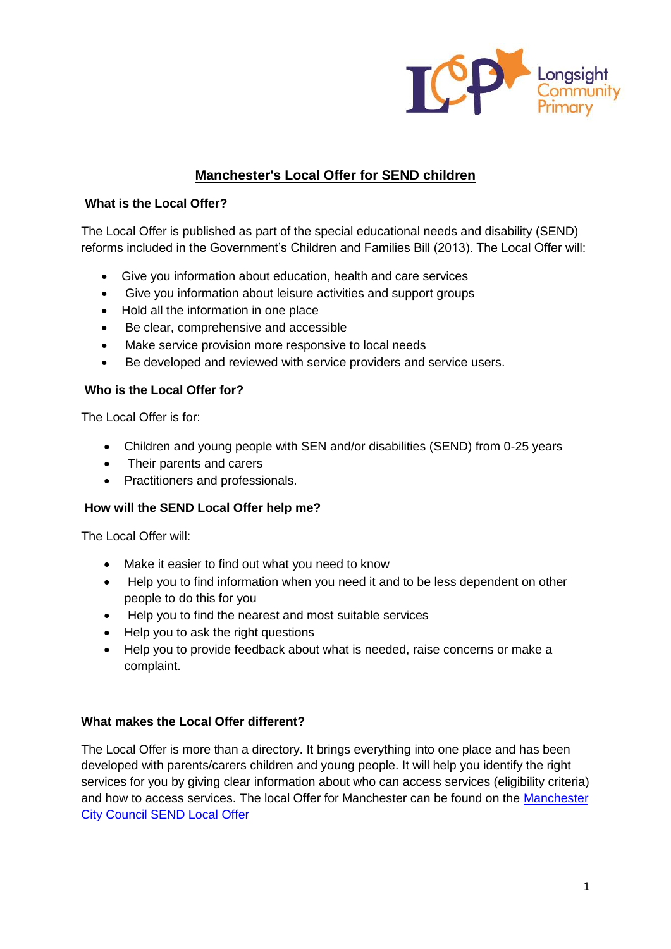

# **Manchester's Local Offer for SEND children**

## **What is the Local Offer?**

The Local Offer is published as part of the special educational needs and disability (SEND) reforms included in the Government's Children and Families Bill (2013). The Local Offer will:

- Give you information about education, health and care services
- Give you information about leisure activities and support groups
- Hold all the information in one place
- Be clear, comprehensive and accessible
- Make service provision more responsive to local needs
- Be developed and reviewed with service providers and service users.

# **Who is the Local Offer for?**

The Local Offer is for:

- Children and young people with SEN and/or disabilities (SEND) from 0-25 years
- Their parents and carers
- Practitioners and professionals.

# **How will the SEND Local Offer help me?**

The Local Offer will:

- Make it easier to find out what you need to know
- Help you to find information when you need it and to be less dependent on other people to do this for you
- Help you to find the nearest and most suitable services
- Help you to ask the right questions
- Help you to provide feedback about what is needed, raise concerns or make a complaint.

# **What makes the Local Offer different?**

The Local Offer is more than a directory. It brings everything into one place and has been developed with parents/carers children and young people. It will help you identify the right services for you by giving clear information about who can access services (eligibility criteria) and how to access services. The local Offer for Manchester can be found on the [Manchester](https://hsm.manchester.gov.uk/kb5/manchester/directory/directory.page?directorychannel=1-7)  [City Council SEND Local Offer](https://hsm.manchester.gov.uk/kb5/manchester/directory/directory.page?directorychannel=1-7)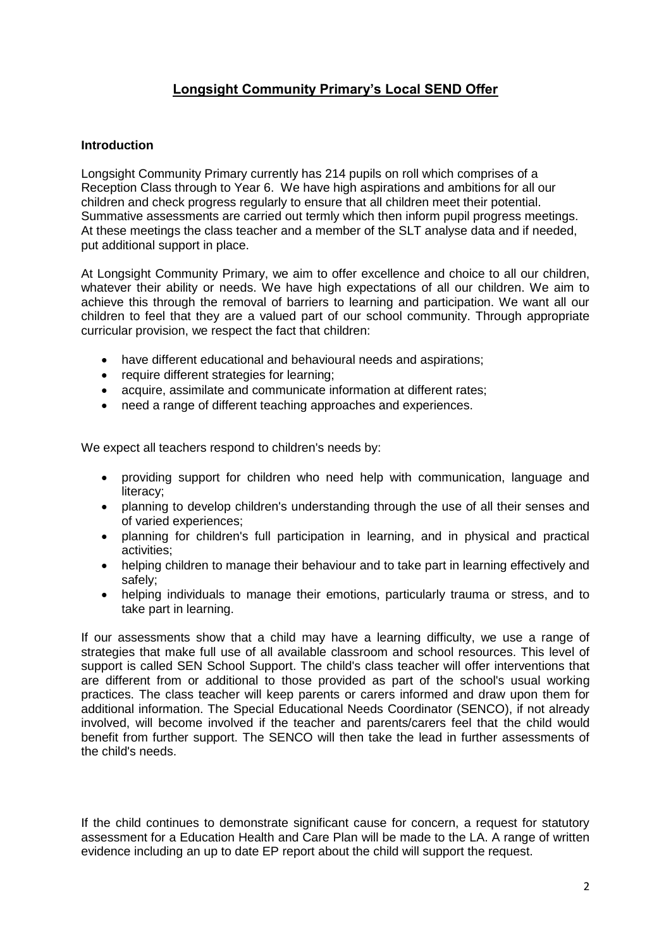# **Longsight Community Primary's Local SEND Offer**

## **Introduction**

Longsight Community Primary currently has 214 pupils on roll which comprises of a Reception Class through to Year 6. We have high aspirations and ambitions for all our children and check progress regularly to ensure that all children meet their potential. Summative assessments are carried out termly which then inform pupil progress meetings. At these meetings the class teacher and a member of the SLT analyse data and if needed, put additional support in place.

At Longsight Community Primary, we aim to offer excellence and choice to all our children, whatever their ability or needs. We have high expectations of all our children. We aim to achieve this through the removal of barriers to learning and participation. We want all our children to feel that they are a valued part of our school community. Through appropriate curricular provision, we respect the fact that children:

- have different educational and behavioural needs and aspirations;
- require different strategies for learning;
- acquire, assimilate and communicate information at different rates;
- need a range of different teaching approaches and experiences.

We expect all teachers respond to children's needs by:

- providing support for children who need help with communication, language and literacy;
- planning to develop children's understanding through the use of all their senses and of varied experiences;
- planning for children's full participation in learning, and in physical and practical activities;
- helping children to manage their behaviour and to take part in learning effectively and safely;
- helping individuals to manage their emotions, particularly trauma or stress, and to take part in learning.

If our assessments show that a child may have a learning difficulty, we use a range of strategies that make full use of all available classroom and school resources. This level of support is called SEN School Support. The child's class teacher will offer interventions that are different from or additional to those provided as part of the school's usual working practices. The class teacher will keep parents or carers informed and draw upon them for additional information. The Special Educational Needs Coordinator (SENCO), if not already involved, will become involved if the teacher and parents/carers feel that the child would benefit from further support. The SENCO will then take the lead in further assessments of the child's needs.

If the child continues to demonstrate significant cause for concern, a request for statutory assessment for a Education Health and Care Plan will be made to the LA. A range of written evidence including an up to date EP report about the child will support the request.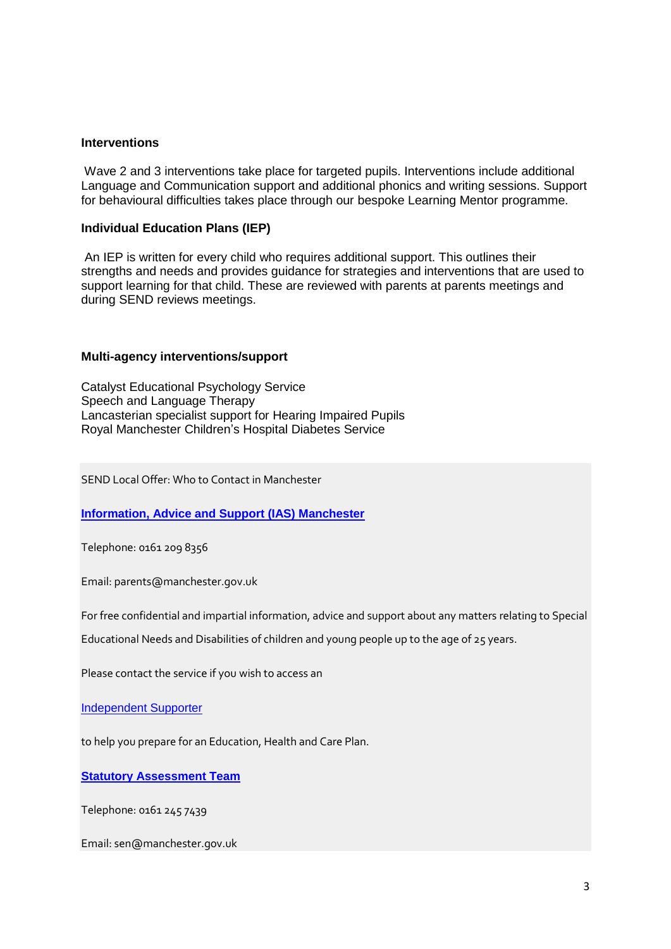#### **Interventions**

Wave 2 and 3 interventions take place for targeted pupils. Interventions include additional Language and Communication support and additional phonics and writing sessions. Support for behavioural difficulties takes place through our bespoke Learning Mentor programme.

### **Individual Education Plans (IEP)**

An IEP is written for every child who requires additional support. This outlines their strengths and needs and provides guidance for strategies and interventions that are used to support learning for that child. These are reviewed with parents at parents meetings and during SEND reviews meetings.

### **Multi-agency interventions/support**

Catalyst Educational Psychology Service Speech and Language Therapy Lancasterian specialist support for Hearing Impaired Pupils Royal Manchester Children's Hospital Diabetes Service

SEND Local Offer: Who to Contact in Manchester

**[Information, Advice and Support \(IAS\) Manchester](http://manchester.fsd.org.uk/kb5/manchester/fsd/organisation.page?record=nrfKKq0-Jz8)**

Telephone: 0161 209 8356

Email: parents@manchester.gov.uk

For free confidential and impartial information, advice and support about any matters relating to Special

Educational Needs and Disabilities of children and young people up to the age of 25 years.

Please contact the service if you wish to access an

[Independent Supporter](http://manchester.fsd.org.uk/kb5/manchester/fsd/service.page?record=u30UjEDFJEk)

to help you prepare for an Education, Health and Care Plan.

**[Statutory Assessment Team](http://manchester.fsd.org.uk/kb5/manchester/fsd/organisation.page?record=TDcFmom-F7g)**

Telephone: 0161 245 7439

Email: sen@manchester.gov.uk